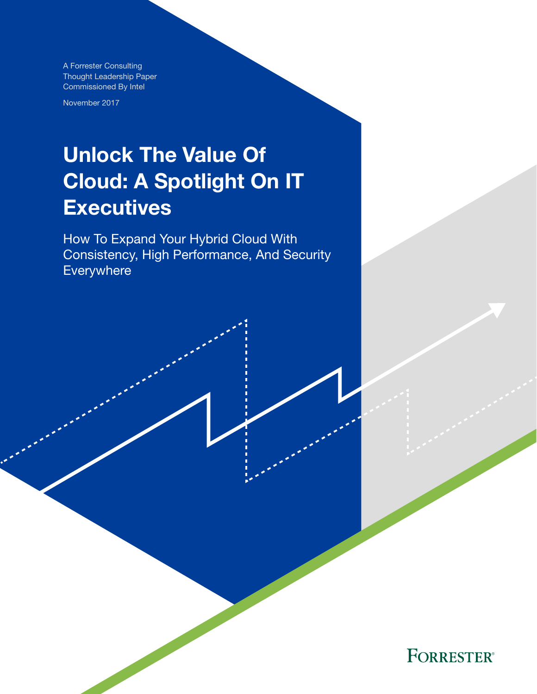A Forrester Consulting Thought Leadership Paper Commissioned By Intel

November 2017

# Unlock The Value Of Cloud: A Spotlight On IT **Executives**

How To Expand Your Hybrid Cloud With Consistency, High Performance, And Security Everywhere

**FORRESTER®**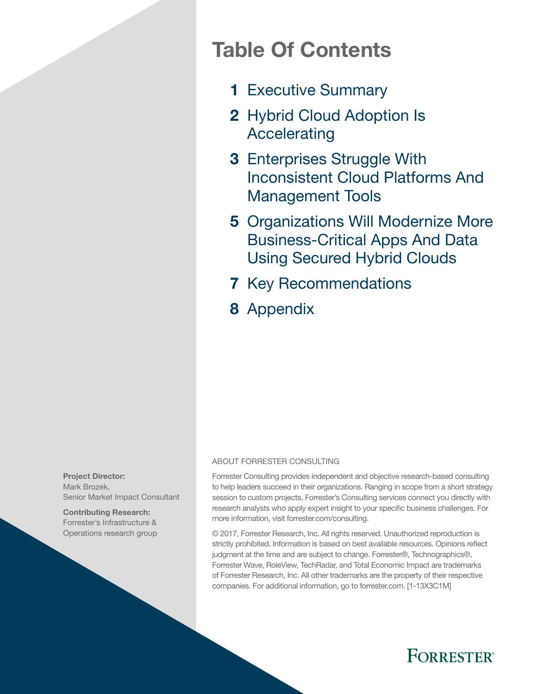## Table Of Contents

- 1 [Executive Summary](#page-2-0)
- 2 Hybrid Cloud Adoption Is [Accelerating](#page-3-0)
- 3 Enterprises Struggle With [Inconsistent Cloud Platforms And](#page-4-0)  [Management Tools](#page-4-0)
- 5 Organizations Will Modernize More [Business-Critical Apps And Data](#page-6-0)  [Using Secured Hybrid Clouds](#page-6-0)
- **7 [Key Recommendations](#page-8-0)**
- 8 [Appendix](#page-9-0)

#### ABOUT FORRESTER CONSULTING

Forrester Consulting provides independent and objective research-based consulting to help leaders succeed in their organizations. Ranging in scope from a short strategy session to custom projects, Forrester's Consulting services connect you directly with research analysts who apply expert insight to your specific business challenges. For more information, visit forrester.com/consulting.

© 2017, Forrester Research, Inc. All rights reserved. Unauthorized reproduction is strictly prohibited. Information is based on best available resources. Opinions reflect judgment at the time and are subject to change. Forrester®, Technographics®, Forrester Wave, RoleView, TechRadar, and Total Economic Impact are trademarks of Forrester Research, Inc. All other trademarks are the property of their respective companies. For additional information, go to forrester.com. [1-13X3C1M]



Contributing Research: Forrester's Infrastructure & Operations research group

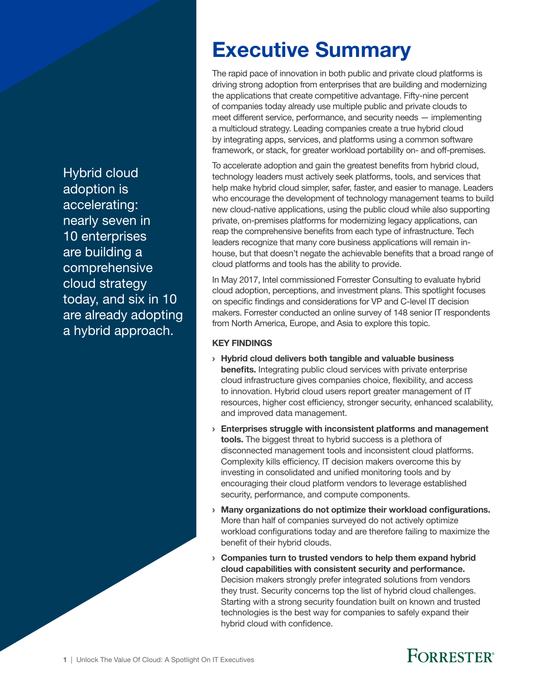<span id="page-2-0"></span>Hybrid cloud adoption is accelerating: nearly seven in 10 enterprises are building a comprehensive cloud strategy today, and six in 10 are already adopting a hybrid approach.

# Executive Summary

The rapid pace of innovation in both public and private cloud platforms is driving strong adoption from enterprises that are building and modernizing the applications that create competitive advantage. Fifty-nine percent of companies today already use multiple public and private clouds to meet different service, performance, and security needs — implementing a multicloud strategy. Leading companies create a true hybrid cloud by integrating apps, services, and platforms using a common software framework, or stack, for greater workload portability on- and off-premises.

To accelerate adoption and gain the greatest benefits from hybrid cloud, technology leaders must actively seek platforms, tools, and services that help make hybrid cloud simpler, safer, faster, and easier to manage. Leaders who encourage the development of technology management teams to build new cloud-native applications, using the public cloud while also supporting private, on-premises platforms for modernizing legacy applications, can reap the comprehensive benefits from each type of infrastructure. Tech leaders recognize that many core business applications will remain inhouse, but that doesn't negate the achievable benefits that a broad range of cloud platforms and tools has the ability to provide.

In May 2017, Intel commissioned Forrester Consulting to evaluate hybrid cloud adoption, perceptions, and investment plans. This spotlight focuses on specific findings and considerations for VP and C-level IT decision makers. Forrester conducted an online survey of 148 senior IT respondents from North America, Europe, and Asia to explore this topic.

### KEY FINDINGS

- › Hybrid cloud delivers both tangible and valuable business benefits. Integrating public cloud services with private enterprise cloud infrastructure gives companies choice, flexibility, and access to innovation. Hybrid cloud users report greater management of IT resources, higher cost efficiency, stronger security, enhanced scalability, and improved data management.
- › Enterprises struggle with inconsistent platforms and management tools. The biggest threat to hybrid success is a plethora of disconnected management tools and inconsistent cloud platforms. Complexity kills efficiency. IT decision makers overcome this by investing in consolidated and unified monitoring tools and by encouraging their cloud platform vendors to leverage established security, performance, and compute components.
- › Many organizations do not optimize their workload configurations. More than half of companies surveyed do not actively optimize workload configurations today and are therefore failing to maximize the benefit of their hybrid clouds.
- › Companies turn to trusted vendors to help them expand hybrid cloud capabilities with consistent security and performance. Decision makers strongly prefer integrated solutions from vendors they trust. Security concerns top the list of hybrid cloud challenges. Starting with a strong security foundation built on known and trusted technologies is the best way for companies to safely expand their hybrid cloud with confidence.

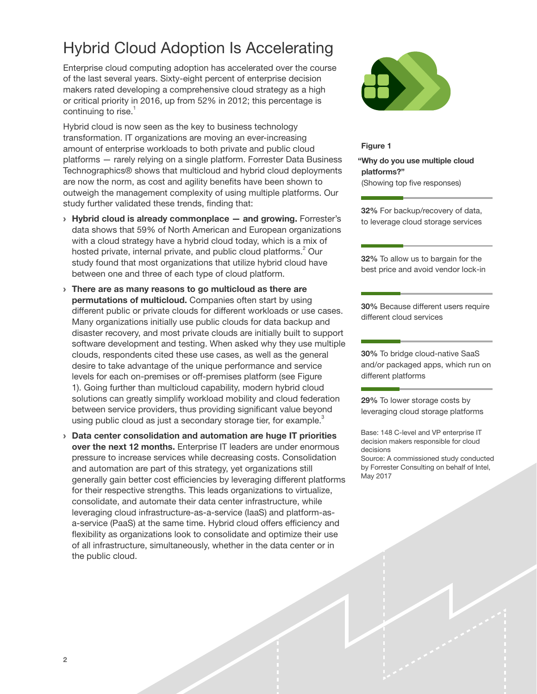## <span id="page-3-0"></span>Hybrid Cloud Adoption Is Accelerating

Enterprise cloud computing adoption has accelerated over the course of the last several years. Sixty-eight percent of enterprise decision makers rated developing a comprehensive cloud strategy as a high or critical priority in 2016, up from 52% in 2012; this percentage is continuing to rise. $<sup>1</sup>$ </sup>

Hybrid cloud is now seen as the key to business technology transformation. IT organizations are moving an ever-increasing amount of enterprise workloads to both private and public cloud platforms — rarely relying on a single platform. Forrester Data Business Technographics® shows that multicloud and hybrid cloud deployments are now the norm, as cost and agility benefits have been shown to outweigh the management complexity of using multiple platforms. Our study further validated these trends, finding that:

- $\rightarrow$  Hybrid cloud is already commonplace  $-$  and growing. Forrester's data shows that 59% of North American and European organizations with a cloud strategy have a hybrid cloud today, which is a mix of hosted private, internal private, and public cloud platforms. $^{2}$  Our study found that most organizations that utilize hybrid cloud have between one and three of each type of cloud platform.
- › There are as many reasons to go multicloud as there are permutations of multicloud. Companies often start by using different public or private clouds for different workloads or use cases. Many organizations initially use public clouds for data backup and disaster recovery, and most private clouds are initially built to support software development and testing. When asked why they use multiple clouds, respondents cited these use cases, as well as the general desire to take advantage of the unique performance and service levels for each on-premises or off-premises platform (see Figure 1). Going further than multicloud capability, modern hybrid cloud solutions can greatly simplify workload mobility and cloud federation between service providers, thus providing significant value beyond using public cloud as just a secondary storage tier, for example. $3$
- › Data center consolidation and automation are huge IT priorities over the next 12 months. Enterprise IT leaders are under enormous pressure to increase services while decreasing costs. Consolidation and automation are part of this strategy, yet organizations still generally gain better cost efficiencies by leveraging different platforms for their respective strengths. This leads organizations to virtualize, consolidate, and automate their data center infrastructure, while leveraging cloud infrastructure-as-a-service (IaaS) and platform-asa-service (PaaS) at the same time. Hybrid cloud offers efficiency and flexibility as organizations look to consolidate and optimize their use of all infrastructure, simultaneously, whether in the data center or in the public cloud.



#### Figure 1

"Why do you use multiple cloud platforms?" (Showing top five responses)

32% For backup/recovery of data, to leverage cloud storage services

32% To allow us to bargain for the best price and avoid vendor lock-in

30% Because different users require different cloud services

30% To bridge cloud-native SaaS and/or packaged apps, which run on different platforms

29% To lower storage costs by leveraging cloud storage platforms

Base: 148 C-level and VP enterprise IT decision makers responsible for cloud decisions

Source: A commissioned study conducted by Forrester Consulting on behalf of Intel, May 2017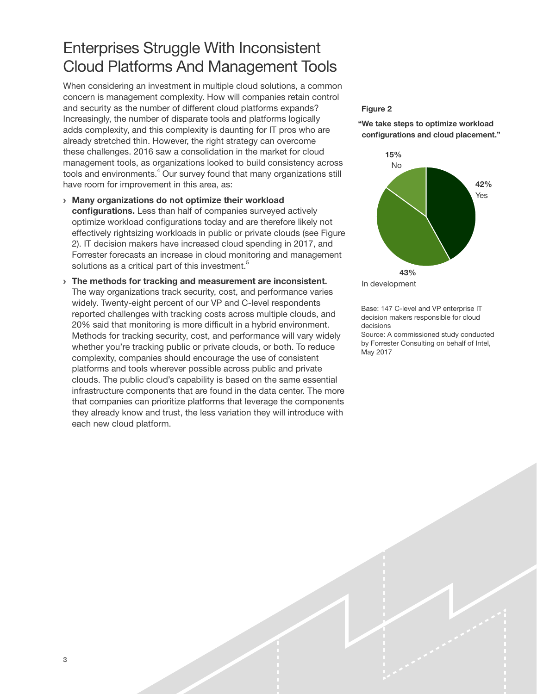### <span id="page-4-0"></span>Enterprises Struggle With Inconsistent Cloud Platforms And Management Tools

When considering an investment in multiple cloud solutions, a common concern is management complexity. How will companies retain control and security as the number of different cloud platforms expands? Increasingly, the number of disparate tools and platforms logically adds complexity, and this complexity is daunting for IT pros who are already stretched thin. However, the right strategy can overcome these challenges. 2016 saw a consolidation in the market for cloud management tools, as organizations looked to build consistency across tools and environments.<sup>4</sup> Our survey found that many organizations still have room for improvement in this area, as:

- › Many organizations do not optimize their workload configurations. Less than half of companies surveyed actively optimize workload configurations today and are therefore likely not effectively rightsizing workloads in public or private clouds (see Figure 2). IT decision makers have increased cloud spending in 2017, and Forrester forecasts an increase in cloud monitoring and management solutions as a critical part of this investment.<sup>5</sup>
- › The methods for tracking and measurement are inconsistent. The way organizations track security, cost, and performance varies widely. Twenty-eight percent of our VP and C-level respondents reported challenges with tracking costs across multiple clouds, and 20% said that monitoring is more difficult in a hybrid environment. Methods for tracking security, cost, and performance will vary widely whether you're tracking public or private clouds, or both. To reduce complexity, companies should encourage the use of consistent platforms and tools wherever possible across public and private clouds. The public cloud's capability is based on the same essential infrastructure components that are found in the data center. The more that companies can prioritize platforms that leverage the components they already know and trust, the less variation they will introduce with each new cloud platform.

#### Figure 2





In development

May 2017

Base: 147 C-level and VP enterprise IT decision makers responsible for cloud decisions Source: A commissioned study conducted by Forrester Consulting on behalf of Intel,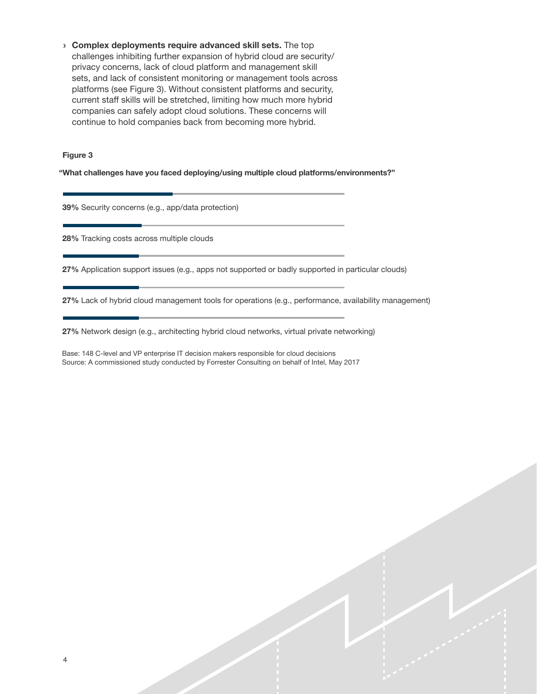› Complex deployments require advanced skill sets. The top challenges inhibiting further expansion of hybrid cloud are security/ privacy concerns, lack of cloud platform and management skill sets, and lack of consistent monitoring or management tools across platforms (see Figure 3). Without consistent platforms and security, current staff skills will be stretched, limiting how much more hybrid companies can safely adopt cloud solutions. These concerns will continue to hold companies back from becoming more hybrid.

#### Figure 3

"What challenges have you faced deploying/using multiple cloud platforms/environments?"

39% Security concerns (e.g., app/data protection)

28% Tracking costs across multiple clouds

27% Application support issues (e.g., apps not supported or badly supported in particular clouds)

27% Lack of hybrid cloud management tools for operations (e.g., performance, availability management)

27% Network design (e.g., architecting hybrid cloud networks, virtual private networking)

Base: 148 C-level and VP enterprise IT decision makers responsible for cloud decisions Source: A commissioned study conducted by Forrester Consulting on behalf of Intel, May 2017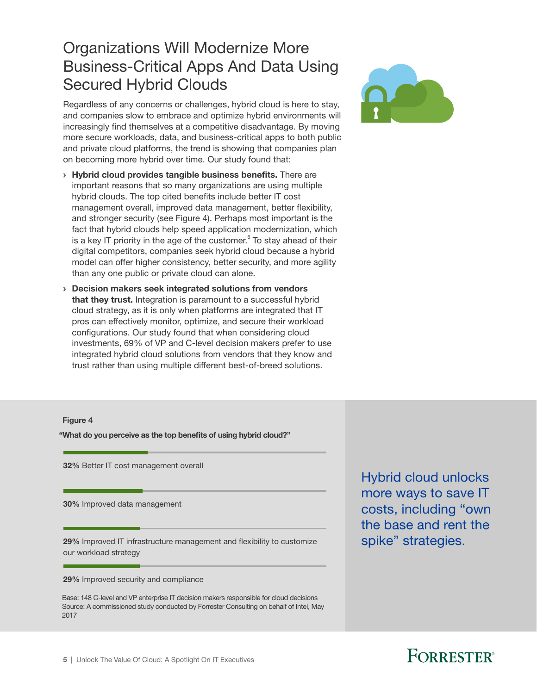### <span id="page-6-0"></span>Organizations Will Modernize More Business-Critical Apps And Data Using Secured Hybrid Clouds

Regardless of any concerns or challenges, hybrid cloud is here to stay, and companies slow to embrace and optimize hybrid environments will increasingly find themselves at a competitive disadvantage. By moving more secure workloads, data, and business-critical apps to both public and private cloud platforms, the trend is showing that companies plan on becoming more hybrid over time. Our study found that:

- › Hybrid cloud provides tangible business benefits. There are important reasons that so many organizations are using multiple hybrid clouds. The top cited benefits include better IT cost management overall, improved data management, better flexibility, and stronger security (see Figure 4). Perhaps most important is the fact that hybrid clouds help speed application modernization, which is a key IT priority in the age of the customer. $^6$  To stay ahead of their digital competitors, companies seek hybrid cloud because a hybrid model can offer higher consistency, better security, and more agility than any one public or private cloud can alone.
- › Decision makers seek integrated solutions from vendors that they trust. Integration is paramount to a successful hybrid cloud strategy, as it is only when platforms are integrated that IT pros can effectively monitor, optimize, and secure their workload configurations. Our study found that when considering cloud investments, 69% of VP and C-level decision makers prefer to use integrated hybrid cloud solutions from vendors that they know and trust rather than using multiple different best-of-breed solutions.



#### Figure 4

"What do you perceive as the top benefits of using hybrid cloud?"

32% Better IT cost management overall

30% Improved data management

29% Improved IT infrastructure management and flexibility to customize our workload strategy

29% Improved security and compliance

Base: 148 C-level and VP enterprise IT decision makers responsible for cloud decisions Source: A commissioned study conducted by Forrester Consulting on behalf of Intel, May 2017

Hybrid cloud unlocks more ways to save IT costs, including "own the base and rent the spike" strategies.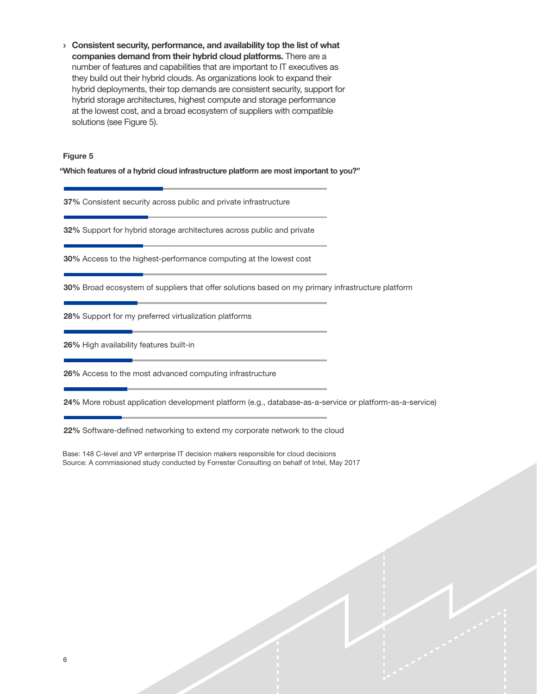› Consistent security, performance, and availability top the list of what companies demand from their hybrid cloud platforms. There are a number of features and capabilities that are important to IT executives as they build out their hybrid clouds. As organizations look to expand their hybrid deployments, their top demands are consistent security, support for hybrid storage architectures, highest compute and storage performance at the lowest cost, and a broad ecosystem of suppliers with compatible solutions (see Figure 5).

#### Figure 5

"Which features of a hybrid cloud infrastructure platform are most important to you?"

37% Consistent security across public and private infrastructure

32% Support for hybrid storage architectures across public and private

30% Access to the highest-performance computing at the lowest cost

30% Broad ecosystem of suppliers that offer solutions based on my primary infrastructure platform

28% Support for my preferred virtualization platforms

26% High availability features built-in

26% Access to the most advanced computing infrastructure

24% More robust application development platform (e.g., database-as-a-service or platform-as-a-service)

22% Software-defined networking to extend my corporate network to the cloud

Base: 148 C-level and VP enterprise IT decision makers responsible for cloud decisions Source: A commissioned study conducted by Forrester Consulting on behalf of Intel, May 2017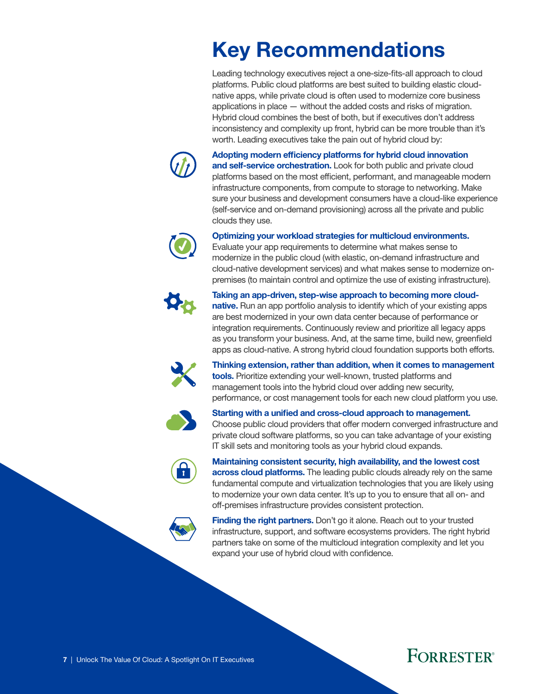# <span id="page-8-0"></span>Key Recommendations

Leading technology executives reject a one-size-fits-all approach to cloud platforms. Public cloud platforms are best suited to building elastic cloudnative apps, while private cloud is often used to modernize core business applications in place — without the added costs and risks of migration. Hybrid cloud combines the best of both, but if executives don't address inconsistency and complexity up front, hybrid can be more trouble than it's worth. Leading executives take the pain out of hybrid cloud by:



Adopting modern efficiency platforms for hybrid cloud innovation and self-service orchestration. Look for both public and private cloud platforms based on the most efficient, performant, and manageable modern infrastructure components, from compute to storage to networking. Make sure your business and development consumers have a cloud-like experience (self-service and on-demand provisioning) across all the private and public clouds they use.



#### Optimizing your workload strategies for multicloud environments.

Evaluate your app requirements to determine what makes sense to modernize in the public cloud (with elastic, on-demand infrastructure and cloud-native development services) and what makes sense to modernize onpremises (to maintain control and optimize the use of existing infrastructure).



Taking an app-driven, step-wise approach to becoming more cloudnative. Run an app portfolio analysis to identify which of your existing apps are best modernized in your own data center because of performance or integration requirements. Continuously review and prioritize all legacy apps as you transform your business. And, at the same time, build new, greenfield

apps as cloud-native. A strong hybrid cloud foundation supports both efforts.



Thinking extension, rather than addition, when it comes to management tools. Prioritize extending your well-known, trusted platforms and management tools into the hybrid cloud over adding new security, performance, or cost management tools for each new cloud platform you use.



Starting with a unified and cross-cloud approach to management. Choose public cloud providers that offer modern converged infrastructure and private cloud software platforms, so you can take advantage of your existing IT skill sets and monitoring tools as your hybrid cloud expands.



Maintaining consistent security, high availability, and the lowest cost across cloud platforms. The leading public clouds already rely on the same fundamental compute and virtualization technologies that you are likely using to modernize your own data center. It's up to you to ensure that all on- and off-premises infrastructure provides consistent protection.

Finding the right partners. Don't go it alone. Reach out to your trusted infrastructure, support, and software ecosystems providers. The right hybrid partners take on some of the multicloud integration complexity and let you expand your use of hybrid cloud with confidence.

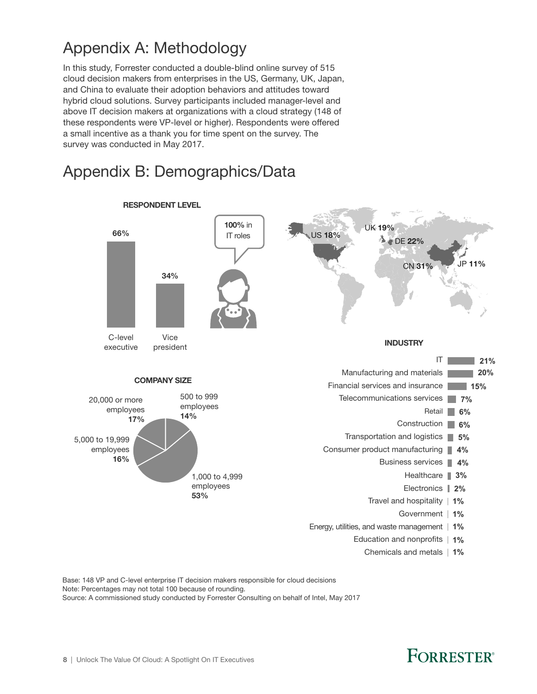## <span id="page-9-0"></span>Appendix A: Methodology

In this study, Forrester conducted a double-blind online survey of 515 cloud decision makers from enterprises in the US, Germany, UK, Japan, and China to evaluate their adoption behaviors and attitudes toward hybrid cloud solutions. Survey participants included manager-level and above IT decision makers at organizations with a cloud strategy (148 of these respondents were VP-level or higher). Respondents were offered a small incentive as a thank you for time spent on the survey. The survey was conducted in May 2017.

### Appendix B: Demographics/Data



Base: 148 VP and C-level enterprise IT decision makers responsible for cloud decisions Note: Percentages may not total 100 because of rounding. Source: A commissioned study conducted by Forrester Consulting on behalf of Intel, May 2017